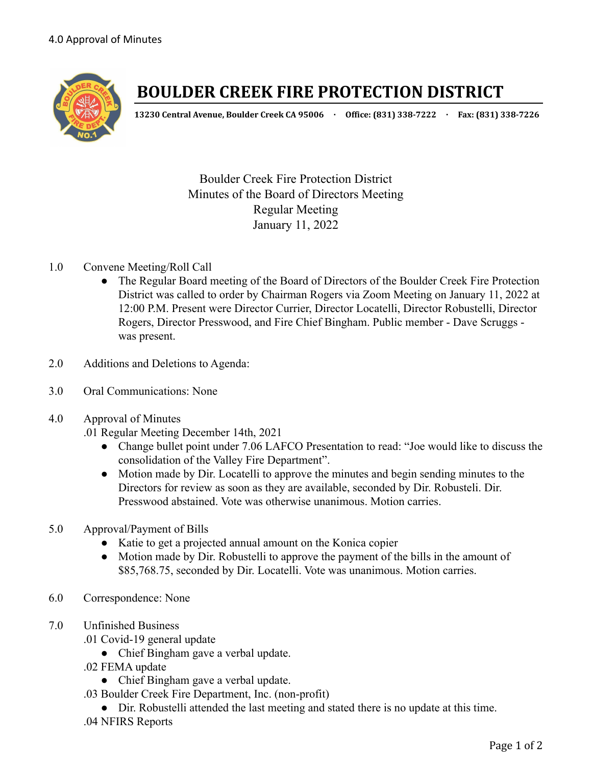

# **BOULDER CREEK FIRE PROTECTION DISTRICT**

**13230 Central Avenue, Boulder Creek CA 95006 · Office: (831) 338-7222 · Fax: (831) 338-7226**

Boulder Creek Fire Protection District Minutes of the Board of Directors Meeting Regular Meeting January 11, 2022

## 1.0 Convene Meeting/Roll Call

- The Regular Board meeting of the Board of Directors of the Boulder Creek Fire Protection District was called to order by Chairman Rogers via Zoom Meeting on January 11, 2022 at 12:00 P.M. Present were Director Currier, Director Locatelli, Director Robustelli, Director Rogers, Director Presswood, and Fire Chief Bingham. Public member - Dave Scruggs was present.
- 2.0 Additions and Deletions to Agenda:
- 3.0 Oral Communications: None
- 4.0 Approval of Minutes
	- .01 Regular Meeting December 14th, 2021
		- Change bullet point under 7.06 LAFCO Presentation to read: "Joe would like to discuss the consolidation of the Valley Fire Department".
		- Motion made by Dir. Locatelli to approve the minutes and begin sending minutes to the Directors for review as soon as they are available, seconded by Dir. Robusteli. Dir. Presswood abstained. Vote was otherwise unanimous. Motion carries.
- 5.0 Approval/Payment of Bills
	- Katie to get a projected annual amount on the Konica copier
	- Motion made by Dir. Robustelli to approve the payment of the bills in the amount of \$85,768.75, seconded by Dir. Locatelli. Vote was unanimous. Motion carries.
- 6.0 Correspondence: None
- 7.0 Unfinished Business
	- .01 Covid-19 general update
		- Chief Bingham gave a verbal update.
	- .02 FEMA update
		- Chief Bingham gave a verbal update.
	- .03 Boulder Creek Fire Department, Inc. (non-profit)
	- Dir. Robustelli attended the last meeting and stated there is no update at this time. .04 NFIRS Reports